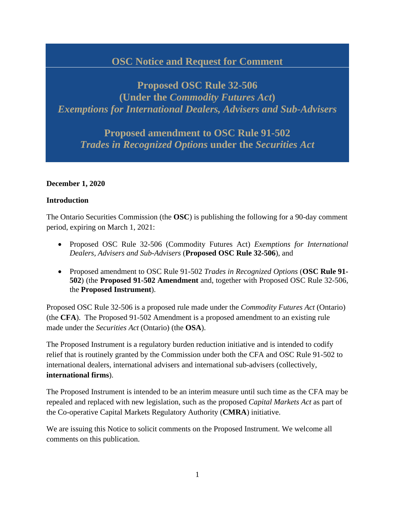# **OSC Notice and Request for Comment**

**Proposed OSC Rule 32-506** 

**(Under the** *Commodity Futures Act***)** *Exemptions for International Dealers, Advisers and Sub-Advisers* 

**Proposed amendment to OSC Rule 91-502**  *Trades in Recognized Options* **under the** *Securities Act*

# **December 1, 2020**

### **Introduction**

The Ontario Securities Commission (the **OSC**) is publishing the following for a 90-day comment period, expiring on March 1, 2021:

- Proposed OSC Rule 32-506 (Commodity Futures Act) *Exemptions for International Dealers, Advisers and Sub-Advisers* (**Proposed OSC Rule 32-506**), and
- Proposed amendment to OSC Rule 91-502 *Trades in Recognized Options* (**OSC Rule 91- 502**) (the **Proposed 91-502 Amendment** and, together with Proposed OSC Rule 32-506, the **Proposed Instrument**).

Proposed OSC Rule 32-506 is a proposed rule made under the *Commodity Futures Act* (Ontario) (the **CFA**). The Proposed 91-502 Amendment is a proposed amendment to an existing rule made under the *Securities Act* (Ontario) (the **OSA**).

The Proposed Instrument is a regulatory burden reduction initiative and is intended to codify relief that is routinely granted by the Commission under both the CFA and OSC Rule 91-502 to international dealers, international advisers and international sub-advisers (collectively, **international firms**).

The Proposed Instrument is intended to be an interim measure until such time as the CFA may be repealed and replaced with new legislation, such as the proposed *Capital Markets Act* as part of the Co-operative Capital Markets Regulatory Authority (**CMRA**) initiative.

We are issuing this Notice to solicit comments on the Proposed Instrument. We welcome all comments on this publication.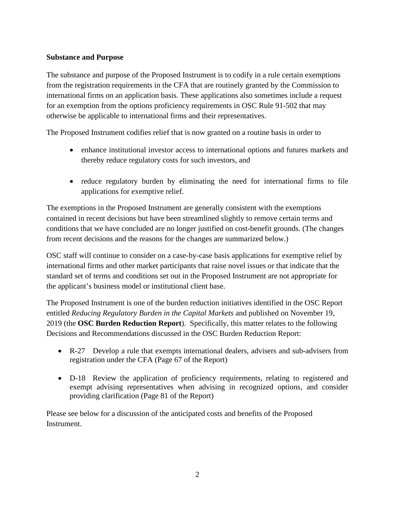# **Substance and Purpose**

The substance and purpose of the Proposed Instrument is to codify in a rule certain exemptions from the registration requirements in the CFA that are routinely granted by the Commission to international firms on an application basis. These applications also sometimes include a request for an exemption from the options proficiency requirements in OSC Rule 91-502 that may otherwise be applicable to international firms and their representatives.

The Proposed Instrument codifies relief that is now granted on a routine basis in order to

- enhance institutional investor access to international options and futures markets and thereby reduce regulatory costs for such investors, and
- reduce regulatory burden by eliminating the need for international firms to file applications for exemptive relief.

The exemptions in the Proposed Instrument are generally consistent with the exemptions contained in recent decisions but have been streamlined slightly to remove certain terms and conditions that we have concluded are no longer justified on cost-benefit grounds. (The changes from recent decisions and the reasons for the changes are summarized below.)

OSC staff will continue to consider on a case-by-case basis applications for exemptive relief by international firms and other market participants that raise novel issues or that indicate that the standard set of terms and conditions set out in the Proposed Instrument are not appropriate for the applicant's business model or institutional client base.

The Proposed Instrument is one of the burden reduction initiatives identified in the OSC Report entitled *Reducing Regulatory Burden in the Capital Markets* and published on November 19, 2019 (the **OSC Burden Reduction Report**). Specifically, this matter relates to the following Decisions and Recommendations discussed in the OSC Burden Reduction Report:

- R-27 Develop a rule that exempts international dealers, advisers and sub-advisers from registration under the CFA (Page 67 of the Report)
- D-18 Review the application of proficiency requirements, relating to registered and exempt advising representatives when advising in recognized options, and consider providing clarification (Page 81 of the Report)

Please see below for a discussion of the anticipated costs and benefits of the Proposed Instrument.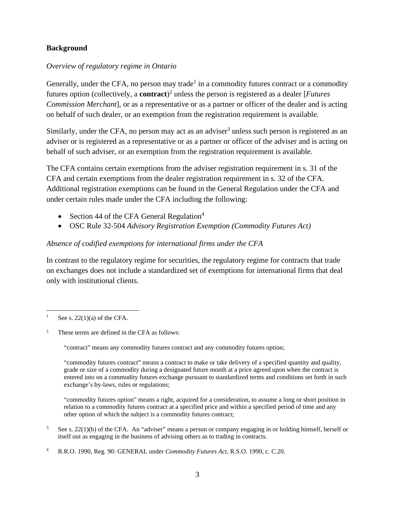# **Background**

### *Overview of regulatory regime in Ontario*

Generally, under the CFA, no person may trade<sup>1</sup> in a commodity futures contract or a commodity futures option (collectively, a **contract**) 2 unless the person is registered as a dealer [*Futures Commission Merchant*], or as a representative or as a partner or officer of the dealer and is acting on behalf of such dealer, or an exemption from the registration requirement is available.

Similarly, under the CFA, no person may act as an adviser<sup>3</sup> unless such person is registered as an adviser or is registered as a representative or as a partner or officer of the adviser and is acting on behalf of such adviser, or an exemption from the registration requirement is available.

The CFA contains certain exemptions from the adviser registration requirement in s. 31 of the CFA and certain exemptions from the dealer registration requirement in s. 32 of the CFA. Additional registration exemptions can be found in the General Regulation under the CFA and under certain rules made under the CFA including the following:

- Section 44 of the CFA General Regulation<sup>4</sup>
- OSC Rule 32-504 *Advisory Registration Exemption (Commodity Futures Act)*

# *Absence of codified exemptions for international firms under the CFA*

In contrast to the regulatory regime for securities, the regulatory regime for contracts that trade on exchanges does not include a standardized set of exemptions for international firms that deal only with institutional clients.

"commodity futures contract" means a contract to make or take delivery of a specified quantity and quality, grade or size of a commodity during a designated future month at a price agreed upon when the contract is entered into on a commodity futures exchange pursuant to standardized terms and conditions set forth in such exchange's by-laws, rules or regulations;

"commodity futures option" means a right, acquired for a consideration, to assume a long or short position in relation to a commodity futures contract at a specified price and within a specified period of time and any other option of which the subject is a commodity futures contract;

 $3$  See s. 22(1)(b) of the CFA. An "adviser" means a person or company engaging in or holding himself, herself or itself out as engaging in the business of advising others as to trading in contracts.

<sup>&</sup>lt;sup>1</sup> See s. 22(1)(a) of the CFA.

 $2^{\circ}$  These terms are defined in the CFA as follows:

<sup>&</sup>quot;contract" means any commodity futures contract and any commodity futures option;

<sup>4</sup> R.R.O. 1990, Reg. 90: GENERAL under *Commodity Futures Act*, R.S.O. 1990, c. C.20.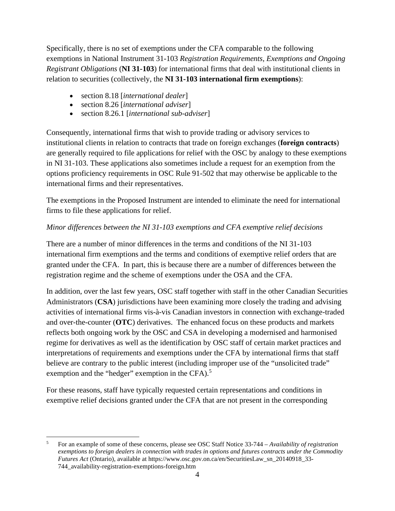Specifically, there is no set of exemptions under the CFA comparable to the following exemptions in National Instrument 31-103 *Registration Requirements, Exemptions and Ongoing Registrant Obligations* (**NI 31-103**) for international firms that deal with institutional clients in relation to securities (collectively, the **NI 31-103 international firm exemptions**):

- section 8.18 [*international dealer*]
- section 8.26 [*international adviser*]
- section 8.26.1 [*international sub-adviser*]

Consequently, international firms that wish to provide trading or advisory services to institutional clients in relation to contracts that trade on foreign exchanges (**foreign contracts**) are generally required to file applications for relief with the OSC by analogy to these exemptions in NI 31-103. These applications also sometimes include a request for an exemption from the options proficiency requirements in OSC Rule 91-502 that may otherwise be applicable to the international firms and their representatives.

The exemptions in the Proposed Instrument are intended to eliminate the need for international firms to file these applications for relief.

# *Minor differences between the NI 31-103 exemptions and CFA exemptive relief decisions*

There are a number of minor differences in the terms and conditions of the NI 31-103 international firm exemptions and the terms and conditions of exemptive relief orders that are granted under the CFA. In part, this is because there are a number of differences between the registration regime and the scheme of exemptions under the OSA and the CFA.

In addition, over the last few years, OSC staff together with staff in the other Canadian Securities Administrators (**CSA**) jurisdictions have been examining more closely the trading and advising activities of international firms vis-à-vis Canadian investors in connection with exchange-traded and over-the-counter (**OTC**) derivatives. The enhanced focus on these products and markets reflects both ongoing work by the OSC and CSA in developing a modernised and harmonised regime for derivatives as well as the identification by OSC staff of certain market practices and interpretations of requirements and exemptions under the CFA by international firms that staff believe are contrary to the public interest (including improper use of the "unsolicited trade" exemption and the "hedger" exemption in the CFA).<sup>5</sup>

For these reasons, staff have typically requested certain representations and conditions in exemptive relief decisions granted under the CFA that are not present in the corresponding

<sup>5</sup> For an example of some of these concerns, please see OSC Staff Notice 33-744 – *Availability of registration exemptions to foreign dealers in connection with trades in options and futures contracts under the Commodity Futures Act* (Ontario), available at https://www.osc.gov.on.ca/en/SecuritiesLaw\_sn\_20140918\_33- 744\_availability-registration-exemptions-foreign.htm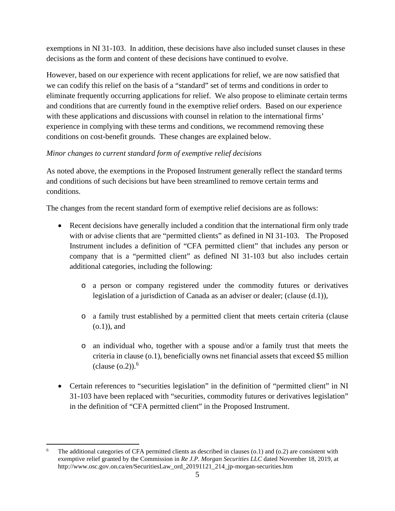exemptions in NI 31-103. In addition, these decisions have also included sunset clauses in these decisions as the form and content of these decisions have continued to evolve.

However, based on our experience with recent applications for relief, we are now satisfied that we can codify this relief on the basis of a "standard" set of terms and conditions in order to eliminate frequently occurring applications for relief. We also propose to eliminate certain terms and conditions that are currently found in the exemptive relief orders. Based on our experience with these applications and discussions with counsel in relation to the international firms' experience in complying with these terms and conditions, we recommend removing these conditions on cost-benefit grounds. These changes are explained below.

# *Minor changes to current standard form of exemptive relief decisions*

As noted above, the exemptions in the Proposed Instrument generally reflect the standard terms and conditions of such decisions but have been streamlined to remove certain terms and conditions.

The changes from the recent standard form of exemptive relief decisions are as follows:

- Recent decisions have generally included a condition that the international firm only trade with or advise clients that are "permitted clients" as defined in NI 31-103. The Proposed Instrument includes a definition of "CFA permitted client" that includes any person or company that is a "permitted client" as defined NI 31-103 but also includes certain additional categories, including the following:
	- o a person or company registered under the commodity futures or derivatives legislation of a jurisdiction of Canada as an adviser or dealer; (clause (d.1)),
	- o a family trust established by a permitted client that meets certain criteria (clause (o.1)), and
	- o an individual who, together with a spouse and/or a family trust that meets the criteria in clause (o.1), beneficially owns net financial assets that exceed \$5 million (clause  $(0.2)$ ).<sup>6</sup>
- Certain references to "securities legislation" in the definition of "permitted client" in NI 31-103 have been replaced with "securities, commodity futures or derivatives legislation" in the definition of "CFA permitted client" in the Proposed Instrument.

The additional categories of CFA permitted clients as described in clauses (o.1) and (o.2) are consistent with exemptive relief granted by the Commission in *Re J.P. Morgan Securities LLC* dated November 18, 2019, at http://www.osc.gov.on.ca/en/SecuritiesLaw\_ord\_20191121\_214\_jp-morgan-securities.htm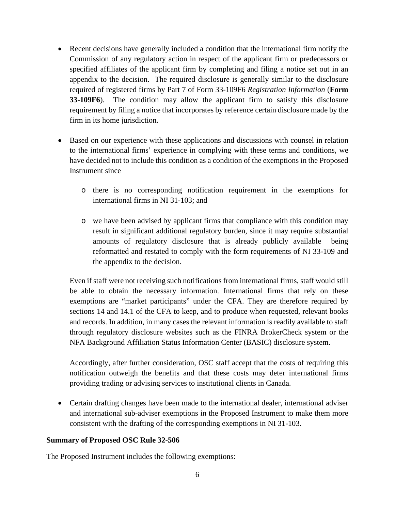- Recent decisions have generally included a condition that the international firm notify the Commission of any regulatory action in respect of the applicant firm or predecessors or specified affiliates of the applicant firm by completing and filing a notice set out in an appendix to the decision. The required disclosure is generally similar to the disclosure required of registered firms by Part 7 of Form 33-109F6 *Registration Information* (**Form 33-109F6**). The condition may allow the applicant firm to satisfy this disclosure requirement by filing a notice that incorporates by reference certain disclosure made by the firm in its home jurisdiction.
- Based on our experience with these applications and discussions with counsel in relation to the international firms' experience in complying with these terms and conditions, we have decided not to include this condition as a condition of the exemptions in the Proposed Instrument since
	- o there is no corresponding notification requirement in the exemptions for international firms in NI 31-103; and
	- o we have been advised by applicant firms that compliance with this condition may result in significant additional regulatory burden, since it may require substantial amounts of regulatory disclosure that is already publicly available being reformatted and restated to comply with the form requirements of NI 33-109 and the appendix to the decision.

Even if staff were not receiving such notifications from international firms, staff would still be able to obtain the necessary information. International firms that rely on these exemptions are "market participants" under the CFA. They are therefore required by sections 14 and 14.1 of the CFA to keep, and to produce when requested, relevant books and records. In addition, in many cases the relevant information is readily available to staff through regulatory disclosure websites such as the FINRA BrokerCheck system or the NFA Background Affiliation Status Information Center (BASIC) disclosure system.

Accordingly, after further consideration, OSC staff accept that the costs of requiring this notification outweigh the benefits and that these costs may deter international firms providing trading or advising services to institutional clients in Canada.

 Certain drafting changes have been made to the international dealer, international adviser and international sub-adviser exemptions in the Proposed Instrument to make them more consistent with the drafting of the corresponding exemptions in NI 31-103.

#### **Summary of Proposed OSC Rule 32-506**

The Proposed Instrument includes the following exemptions: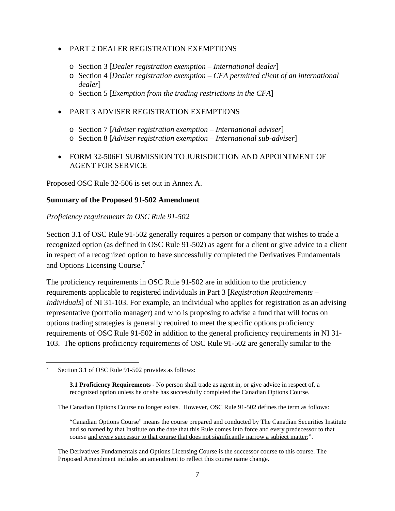# PART 2 DEALER REGISTRATION EXEMPTIONS

- o Section 3 [*Dealer registration exemption International dealer*]
- o Section 4 [*Dealer registration exemption CFA permitted client of an international dealer*]
- o Section 5 [*Exemption from the trading restrictions in the CFA*]
- PART 3 ADVISER REGISTRATION EXEMPTIONS
	- o Section 7 [*Adviser registration exemption International adviser*]
	- o Section 8 [*Adviser registration exemption International sub-adviser*]
- FORM 32-506F1 SUBMISSION TO JURISDICTION AND APPOINTMENT OF AGENT FOR SERVICE

Proposed OSC Rule 32-506 is set out in Annex A.

#### **Summary of the Proposed 91-502 Amendment**

*Proficiency requirements in OSC Rule 91-502* 

Section 3.1 of OSC Rule 91-502 generally requires a person or company that wishes to trade a recognized option (as defined in OSC Rule 91-502) as agent for a client or give advice to a client in respect of a recognized option to have successfully completed the Derivatives Fundamentals and Options Licensing Course.<sup>7</sup>

The proficiency requirements in OSC Rule 91-502 are in addition to the proficiency requirements applicable to registered individuals in Part 3 [*Registration Requirements – Individuals* of NI 31-103. For example, an individual who applies for registration as an advising representative (portfolio manager) and who is proposing to advise a fund that will focus on options trading strategies is generally required to meet the specific options proficiency requirements of OSC Rule 91-502 in addition to the general proficiency requirements in NI 31- 103. The options proficiency requirements of OSC Rule 91-502 are generally similar to the

<sup>7</sup> Section 3.1 of OSC Rule 91-502 provides as follows:

**<sup>3.1</sup> Proficiency Requirements** - No person shall trade as agent in, or give advice in respect of, a recognized option unless he or she has successfully completed the Canadian Options Course.

The Canadian Options Course no longer exists. However, OSC Rule 91-502 defines the term as follows:

<sup>&</sup>quot;Canadian Options Course" means the course prepared and conducted by The Canadian Securities Institute and so named by that Institute on the date that this Rule comes into force and every predecessor to that course and every successor to that course that does not significantly narrow a subject matter;".

The Derivatives Fundamentals and Options Licensing Course is the successor course to this course. The Proposed Amendment includes an amendment to reflect this course name change.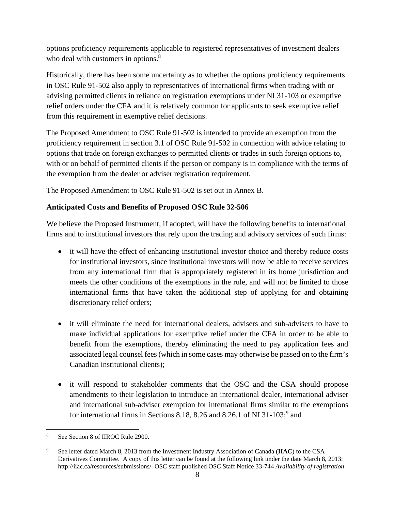options proficiency requirements applicable to registered representatives of investment dealers who deal with customers in options.<sup>8</sup>

Historically, there has been some uncertainty as to whether the options proficiency requirements in OSC Rule 91-502 also apply to representatives of international firms when trading with or advising permitted clients in reliance on registration exemptions under NI 31-103 or exemptive relief orders under the CFA and it is relatively common for applicants to seek exemptive relief from this requirement in exemptive relief decisions.

The Proposed Amendment to OSC Rule 91-502 is intended to provide an exemption from the proficiency requirement in section 3.1 of OSC Rule 91-502 in connection with advice relating to options that trade on foreign exchanges to permitted clients or trades in such foreign options to, with or on behalf of permitted clients if the person or company is in compliance with the terms of the exemption from the dealer or adviser registration requirement.

The Proposed Amendment to OSC Rule 91-502 is set out in Annex B.

# **Anticipated Costs and Benefits of Proposed OSC Rule 32-506**

We believe the Proposed Instrument, if adopted, will have the following benefits to international firms and to institutional investors that rely upon the trading and advisory services of such firms:

- it will have the effect of enhancing institutional investor choice and thereby reduce costs for institutional investors, since institutional investors will now be able to receive services from any international firm that is appropriately registered in its home jurisdiction and meets the other conditions of the exemptions in the rule, and will not be limited to those international firms that have taken the additional step of applying for and obtaining discretionary relief orders;
- it will eliminate the need for international dealers, advisers and sub-advisers to have to make individual applications for exemptive relief under the CFA in order to be able to benefit from the exemptions, thereby eliminating the need to pay application fees and associated legal counsel fees (which in some cases may otherwise be passed on to the firm's Canadian institutional clients);
- it will respond to stakeholder comments that the OSC and the CSA should propose amendments to their legislation to introduce an international dealer, international adviser and international sub-adviser exemption for international firms similar to the exemptions for international firms in Sections 8.18, 8.26 and 8.26.1 of NI 31-103;<sup>9</sup> and

See Section 8 of IIROC Rule 2900.

<sup>9</sup> See letter dated March 8, 2013 from the Investment Industry Association of Canada (**IIAC**) to the CSA Derivatives Committee. A copy of this letter can be found at the following link under the date March 8, 2013: http://iiac.ca/resources/submissions/ OSC staff published OSC Staff Notice 33-744 *Availability of registration*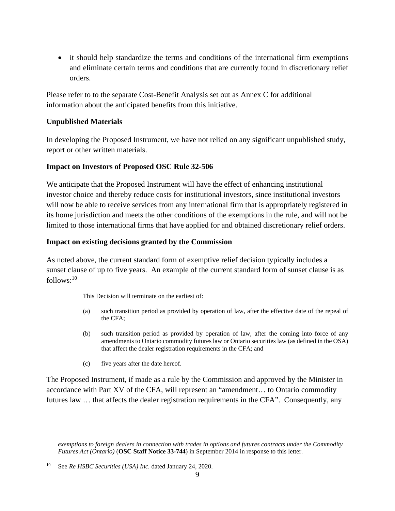it should help standardize the terms and conditions of the international firm exemptions and eliminate certain terms and conditions that are currently found in discretionary relief orders.

Please refer to to the separate Cost-Benefit Analysis set out as Annex C for additional information about the anticipated benefits from this initiative.

### **Unpublished Materials**

In developing the Proposed Instrument, we have not relied on any significant unpublished study, report or other written materials.

### **Impact on Investors of Proposed OSC Rule 32-506**

We anticipate that the Proposed Instrument will have the effect of enhancing institutional investor choice and thereby reduce costs for institutional investors, since institutional investors will now be able to receive services from any international firm that is appropriately registered in its home jurisdiction and meets the other conditions of the exemptions in the rule, and will not be limited to those international firms that have applied for and obtained discretionary relief orders.

### **Impact on existing decisions granted by the Commission**

As noted above, the current standard form of exemptive relief decision typically includes a sunset clause of up to five years. An example of the current standard form of sunset clause is as  $follows:<sup>10</sup>$ 

This Decision will terminate on the earliest of:

- (a) such transition period as provided by operation of law, after the effective date of the repeal of the CFA;
- (b) such transition period as provided by operation of law, after the coming into force of any amendments to Ontario commodity futures law or Ontario securities law (as defined in the OSA) that affect the dealer registration requirements in the CFA; and
- (c) five years after the date hereof.

The Proposed Instrument, if made as a rule by the Commission and approved by the Minister in accordance with Part XV of the CFA, will represent an "amendment… to Ontario commodity futures law … that affects the dealer registration requirements in the CFA". Consequently, any

*exemptions to foreign dealers in connection with trades in options and futures contracts under the Commodity Futures Act (Ontario)* (**OSC Staff Notice 33-744**) in September 2014 in response to this letter.

<sup>10</sup> See *Re HSBC Securities (USA) Inc.* dated January 24, 2020.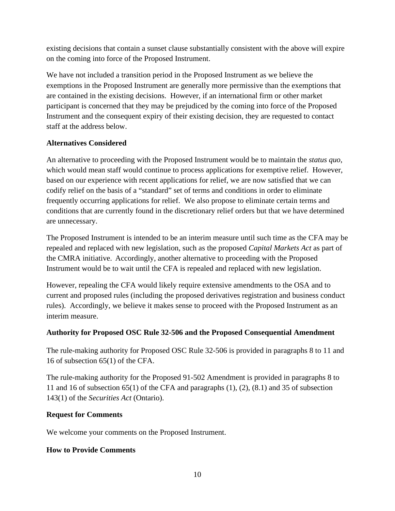existing decisions that contain a sunset clause substantially consistent with the above will expire on the coming into force of the Proposed Instrument.

We have not included a transition period in the Proposed Instrument as we believe the exemptions in the Proposed Instrument are generally more permissive than the exemptions that are contained in the existing decisions. However, if an international firm or other market participant is concerned that they may be prejudiced by the coming into force of the Proposed Instrument and the consequent expiry of their existing decision, they are requested to contact staff at the address below.

# **Alternatives Considered**

An alternative to proceeding with the Proposed Instrument would be to maintain the *status quo*, which would mean staff would continue to process applications for exemptive relief. However, based on our experience with recent applications for relief, we are now satisfied that we can codify relief on the basis of a "standard" set of terms and conditions in order to eliminate frequently occurring applications for relief. We also propose to eliminate certain terms and conditions that are currently found in the discretionary relief orders but that we have determined are unnecessary.

The Proposed Instrument is intended to be an interim measure until such time as the CFA may be repealed and replaced with new legislation, such as the proposed *Capital Markets Act* as part of the CMRA initiative. Accordingly, another alternative to proceeding with the Proposed Instrument would be to wait until the CFA is repealed and replaced with new legislation.

However, repealing the CFA would likely require extensive amendments to the OSA and to current and proposed rules (including the proposed derivatives registration and business conduct rules). Accordingly, we believe it makes sense to proceed with the Proposed Instrument as an interim measure.

# **Authority for Proposed OSC Rule 32-506 and the Proposed Consequential Amendment**

The rule-making authority for Proposed OSC Rule 32-506 is provided in paragraphs 8 to 11 and 16 of subsection 65(1) of the CFA.

The rule-making authority for the Proposed 91-502 Amendment is provided in paragraphs 8 to 11 and 16 of subsection 65(1) of the CFA and paragraphs (1), (2), (8.1) and 35 of subsection 143(1) of the *Securities Act* (Ontario).

# **Request for Comments**

We welcome your comments on the Proposed Instrument.

# **How to Provide Comments**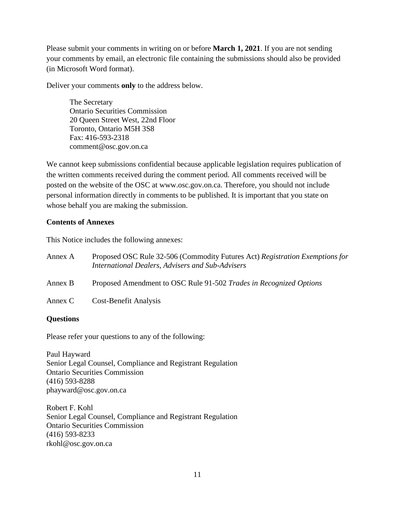Please submit your comments in writing on or before **March 1, 2021**. If you are not sending your comments by email, an electronic file containing the submissions should also be provided (in Microsoft Word format).

Deliver your comments **only** to the address below.

The Secretary Ontario Securities Commission 20 Queen Street West, 22nd Floor Toronto, Ontario M5H 3S8 Fax: 416-593-2318 comment@osc.gov.on.ca

We cannot keep submissions confidential because applicable legislation requires publication of the written comments received during the comment period. All comments received will be posted on the website of the OSC at www.osc.gov.on.ca. Therefore, you should not include personal information directly in comments to be published. It is important that you state on whose behalf you are making the submission.

### **Contents of Annexes**

This Notice includes the following annexes:

| Annex A | Proposed OSC Rule 32-506 (Commodity Futures Act) Registration Exemptions for<br><b>International Dealers, Advisers and Sub-Advisers</b> |
|---------|-----------------------------------------------------------------------------------------------------------------------------------------|
| Annex B | Proposed Amendment to OSC Rule 91-502 Trades in Recognized Options                                                                      |
| Annex C | <b>Cost-Benefit Analysis</b>                                                                                                            |

#### **Questions**

Please refer your questions to any of the following:

Paul Hayward Senior Legal Counsel, Compliance and Registrant Regulation Ontario Securities Commission (416) 593-8288 phayward@osc.gov.on.ca

Robert F. Kohl Senior Legal Counsel, Compliance and Registrant Regulation Ontario Securities Commission (416) 593-8233 rkohl@osc.gov.on.ca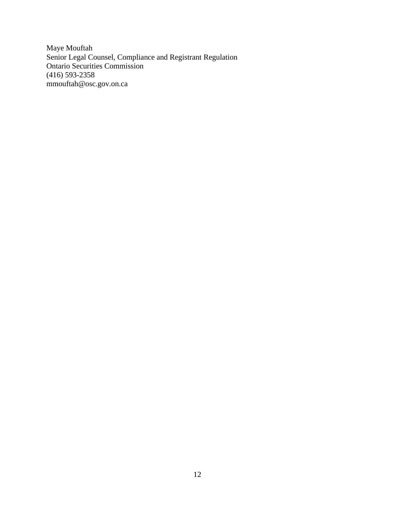Maye Mouftah Senior Legal Counsel, Compliance and Registrant Regulation Ontario Securities Commission (416) 593-2358 mmouftah@osc.gov.on.ca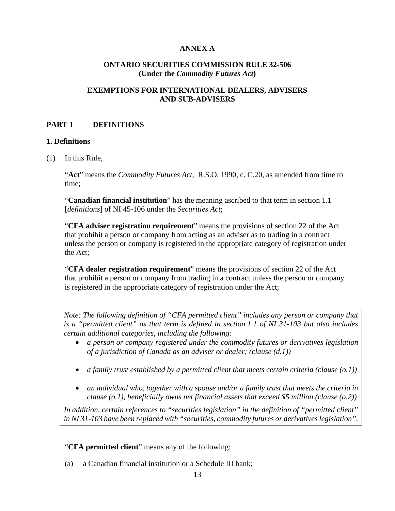### **ANNEX A**

### **ONTARIO SECURITIES COMMISSION RULE 32-506 (Under the** *Commodity Futures Act***)**

#### **EXEMPTIONS FOR INTERNATIONAL DEALERS, ADVISERS AND SUB-ADVISERS**

#### **PART 1 DEFINITIONS**

#### **1. Definitions**

(1) In this Rule,

"**Act**" means the *Commodity Futures Act*, R.S.O. 1990, c. C.20, as amended from time to time;

"**Canadian financial institution**" has the meaning ascribed to that term in section 1.1 [*definitions*] of NI 45-106 under the *Securities Act*;

"**CFA adviser registration requirement**" means the provisions of section 22 of the Act that prohibit a person or company from acting as an adviser as to trading in a contract unless the person or company is registered in the appropriate category of registration under the Act;

"**CFA dealer registration requirement**" means the provisions of section 22 of the Act that prohibit a person or company from trading in a contract unless the person or company is registered in the appropriate category of registration under the Act;

*Note: The following definition of "CFA permitted client" includes any person or company that is a "permitted client" as that term is defined in section 1.1 of NI 31-103 but also includes certain additional categories, including the following:* 

- *a person or company registered under the commodity futures or derivatives legislation of a jurisdiction of Canada as an adviser or dealer; (clause (d.1))*
- *a family trust established by a permitted client that meets certain criteria (clause (o.1))*
- *an individual who, together with a spouse and/or a family trust that meets the criteria in clause (o.1), beneficially owns net financial assets that exceed \$5 million (clause (o.2))*

*In addition, certain references to "securities legislation" in the definition of "permitted client" in NI 31-103 have been replaced with "securities, commodity futures or derivatives legislation".*

"**CFA permitted client**" means any of the following:

(a) a Canadian financial institution or a Schedule III bank;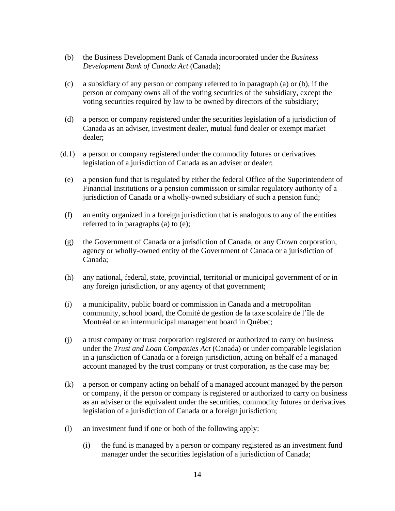- (b) the Business Development Bank of Canada incorporated under the *Business Development Bank of Canada Act* (Canada);
- (c) a subsidiary of any person or company referred to in paragraph (a) or (b), if the person or company owns all of the voting securities of the subsidiary, except the voting securities required by law to be owned by directors of the subsidiary;
- (d) a person or company registered under the securities legislation of a jurisdiction of Canada as an adviser, investment dealer, mutual fund dealer or exempt market dealer;
- (d.1) a person or company registered under the commodity futures or derivatives legislation of a jurisdiction of Canada as an adviser or dealer;
- (e) a pension fund that is regulated by either the federal Office of the Superintendent of Financial Institutions or a pension commission or similar regulatory authority of a jurisdiction of Canada or a wholly-owned subsidiary of such a pension fund;
- (f) an entity organized in a foreign jurisdiction that is analogous to any of the entities referred to in paragraphs (a) to (e);
- (g) the Government of Canada or a jurisdiction of Canada, or any Crown corporation, agency or wholly-owned entity of the Government of Canada or a jurisdiction of Canada;
- (h) any national, federal, state, provincial, territorial or municipal government of or in any foreign jurisdiction, or any agency of that government;
- (i) a municipality, public board or commission in Canada and a metropolitan community, school board, the Comité de gestion de la taxe scolaire de l'île de Montréal or an intermunicipal management board in Québec;
- (j) a trust company or trust corporation registered or authorized to carry on business under the *Trust and Loan Companies Act* (Canada) or under comparable legislation in a jurisdiction of Canada or a foreign jurisdiction, acting on behalf of a managed account managed by the trust company or trust corporation, as the case may be;
- (k) a person or company acting on behalf of a managed account managed by the person or company, if the person or company is registered or authorized to carry on business as an adviser or the equivalent under the securities, commodity futures or derivatives legislation of a jurisdiction of Canada or a foreign jurisdiction;
- (l) an investment fund if one or both of the following apply:
	- (i) the fund is managed by a person or company registered as an investment fund manager under the securities legislation of a jurisdiction of Canada;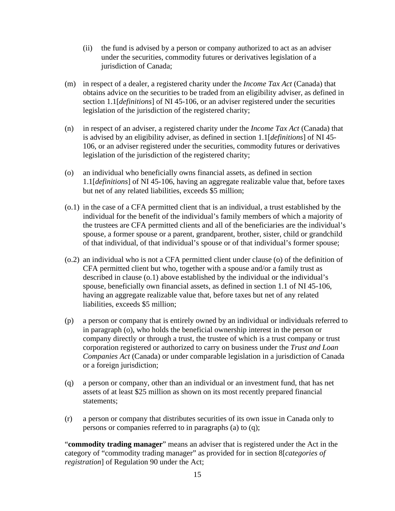- (ii) the fund is advised by a person or company authorized to act as an adviser under the securities, commodity futures or derivatives legislation of a jurisdiction of Canada;
- (m) in respect of a dealer, a registered charity under the *Income Tax Act* (Canada) that obtains advice on the securities to be traded from an eligibility adviser, as defined in section 1.1[*definitions*] of NI 45-106, or an adviser registered under the securities legislation of the jurisdiction of the registered charity;
- (n) in respect of an adviser, a registered charity under the *Income Tax Act* (Canada) that is advised by an eligibility adviser, as defined in section 1.1[*definitions*] of NI 45- 106, or an adviser registered under the securities, commodity futures or derivatives legislation of the jurisdiction of the registered charity;
- (o) an individual who beneficially owns financial assets, as defined in section 1.1[*definitions*] of NI 45-106, having an aggregate realizable value that, before taxes but net of any related liabilities, exceeds \$5 million;
- (o.1) in the case of a CFA permitted client that is an individual, a trust established by the individual for the benefit of the individual's family members of which a majority of the trustees are CFA permitted clients and all of the beneficiaries are the individual's spouse, a former spouse or a parent, grandparent, brother, sister, child or grandchild of that individual, of that individual's spouse or of that individual's former spouse;
- (o.2) an individual who is not a CFA permitted client under clause (o) of the definition of CFA permitted client but who, together with a spouse and/or a family trust as described in clause (o.1) above established by the individual or the individual's spouse, beneficially own financial assets, as defined in section 1.1 of NI 45-106, having an aggregate realizable value that, before taxes but net of any related liabilities, exceeds \$5 million;
- (p) a person or company that is entirely owned by an individual or individuals referred to in paragraph (o), who holds the beneficial ownership interest in the person or company directly or through a trust, the trustee of which is a trust company or trust corporation registered or authorized to carry on business under the *Trust and Loan Companies Act* (Canada) or under comparable legislation in a jurisdiction of Canada or a foreign jurisdiction;
- (q) a person or company, other than an individual or an investment fund, that has net assets of at least \$25 million as shown on its most recently prepared financial statements;
- (r) a person or company that distributes securities of its own issue in Canada only to persons or companies referred to in paragraphs (a) to (q);

"**commodity trading manager**" means an adviser that is registered under the Act in the category of "commodity trading manager" as provided for in section 8[*categories of registration*] of Regulation 90 under the Act;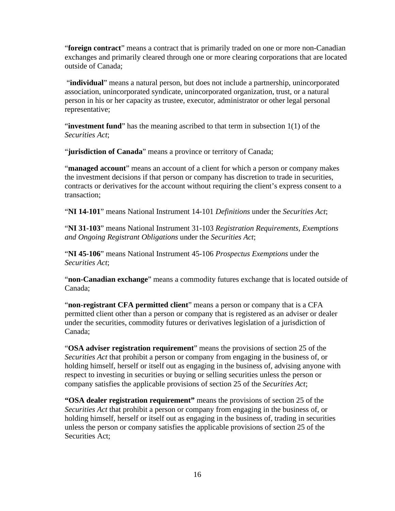"**foreign contract**" means a contract that is primarily traded on one or more non-Canadian exchanges and primarily cleared through one or more clearing corporations that are located outside of Canada;

 "**individual**" means a natural person, but does not include a partnership, unincorporated association, unincorporated syndicate, unincorporated organization, trust, or a natural person in his or her capacity as trustee, executor, administrator or other legal personal representative;

"**investment fund**" has the meaning ascribed to that term in subsection 1(1) of the *Securities Act*;

"**jurisdiction of Canada**" means a province or territory of Canada;

"**managed account**" means an account of a client for which a person or company makes the investment decisions if that person or company has discretion to trade in securities, contracts or derivatives for the account without requiring the client's express consent to a transaction;

"**NI 14-101**" means National Instrument 14-101 *Definitions* under the *Securities Act*;

"**NI 31-103**" means National Instrument 31-103 *Registration Requirements, Exemptions and Ongoing Registrant Obligations* under the *Securities Act*;

"**NI 45-106**" means National Instrument 45-106 *Prospectus Exemptions* under the *Securities Act*;

"**non-Canadian exchange**" means a commodity futures exchange that is located outside of Canada;

"**non-registrant CFA permitted client**" means a person or company that is a CFA permitted client other than a person or company that is registered as an adviser or dealer under the securities, commodity futures or derivatives legislation of a jurisdiction of Canada;

"**OSA adviser registration requirement**" means the provisions of section 25 of the *Securities Act* that prohibit a person or company from engaging in the business of, or holding himself, herself or itself out as engaging in the business of, advising anyone with respect to investing in securities or buying or selling securities unless the person or company satisfies the applicable provisions of section 25 of the *Securities Act*;

**"OSA dealer registration requirement"** means the provisions of section 25 of the *Securities Act* that prohibit a person or company from engaging in the business of, or holding himself, herself or itself out as engaging in the business of, trading in securities unless the person or company satisfies the applicable provisions of section 25 of the Securities Act;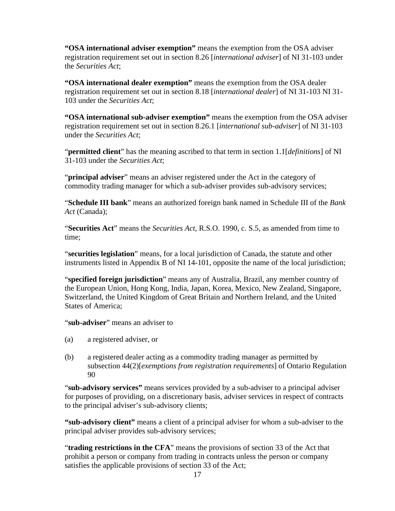**"OSA international adviser exemption"** means the exemption from the OSA adviser registration requirement set out in section 8.26 [*international adviser*] of NI 31-103 under the *Securities Act*;

**"OSA international dealer exemption"** means the exemption from the OSA dealer registration requirement set out in section 8.18 [*international dealer*] of NI 31-103 NI 31- 103 under the *Securities Act*;

**"OSA international sub-adviser exemption"** means the exemption from the OSA adviser registration requirement set out in section 8.26.1 [*international sub-adviser*] of NI 31-103 under the *Securities Act*;

"**permitted client**" has the meaning ascribed to that term in section 1.1[*definitions*] of NI 31-103 under the *Securities Act*;

"**principal adviser**" means an adviser registered under the Act in the category of commodity trading manager for which a sub-adviser provides sub-advisory services;

"**Schedule III bank**" means an authorized foreign bank named in Schedule III of the *Bank Act* (Canada);

"**Securities Act**" means the *Securities Act*, R.S.O. 1990, c. S.5, as amended from time to time;

"**securities legislation**" means, for a local jurisdiction of Canada, the statute and other instruments listed in Appendix B of NI 14-101, opposite the name of the local jurisdiction;

"**specified foreign jurisdiction**" means any of Australia, Brazil, any member country of the European Union, Hong Kong, India, Japan, Korea, Mexico, New Zealand, Singapore, Switzerland, the United Kingdom of Great Britain and Northern Ireland, and the United States of America;

"**sub-adviser**" means an adviser to

- (a) a registered adviser, or
- (b) a registered dealer acting as a commodity trading manager as permitted by subsection 44(2)[*exemptions from registration requirements*] of Ontario Regulation 90

"**sub-advisory services"** means services provided by a sub-adviser to a principal adviser for purposes of providing, on a discretionary basis, adviser services in respect of contracts to the principal adviser's sub-advisory clients;

**"sub-advisory client"** means a client of a principal adviser for whom a sub-adviser to the principal adviser provides sub-advisory services;

"**trading restrictions in the CFA**" means the provisions of section 33 of the Act that prohibit a person or company from trading in contracts unless the person or company satisfies the applicable provisions of section 33 of the Act;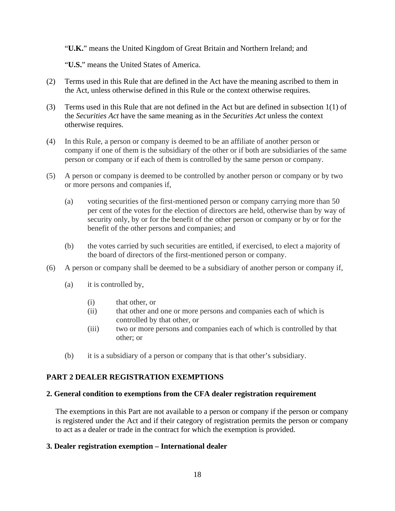"**U.K.**" means the United Kingdom of Great Britain and Northern Ireland; and

"**U.S.**" means the United States of America.

- (2) Terms used in this Rule that are defined in the Act have the meaning ascribed to them in the Act, unless otherwise defined in this Rule or the context otherwise requires.
- (3) Terms used in this Rule that are not defined in the Act but are defined in subsection 1(1) of the *Securities Act* have the same meaning as in the *Securities Act* unless the context otherwise requires.
- (4) In this Rule, a person or company is deemed to be an affiliate of another person or company if one of them is the subsidiary of the other or if both are subsidiaries of the same person or company or if each of them is controlled by the same person or company.
- (5) A person or company is deemed to be controlled by another person or company or by two or more persons and companies if,
	- (a) voting securities of the first-mentioned person or company carrying more than 50 per cent of the votes for the election of directors are held, otherwise than by way of security only, by or for the benefit of the other person or company or by or for the benefit of the other persons and companies; and
	- (b) the votes carried by such securities are entitled, if exercised, to elect a majority of the board of directors of the first-mentioned person or company.
- (6) A person or company shall be deemed to be a subsidiary of another person or company if,
	- (a) it is controlled by,
		- (i) that other, or
		- (ii) that other and one or more persons and companies each of which is controlled by that other, or
		- (iii) two or more persons and companies each of which is controlled by that other; or
	- (b) it is a subsidiary of a person or company that is that other's subsidiary.

# **PART 2 DEALER REGISTRATION EXEMPTIONS**

#### **2. General condition to exemptions from the CFA dealer registration requirement**

The exemptions in this Part are not available to a person or company if the person or company is registered under the Act and if their category of registration permits the person or company to act as a dealer or trade in the contract for which the exemption is provided.

#### **3. Dealer registration exemption – International dealer**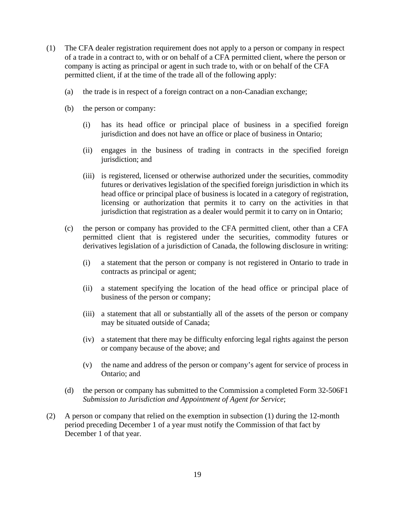- (1) The CFA dealer registration requirement does not apply to a person or company in respect of a trade in a contract to, with or on behalf of a CFA permitted client, where the person or company is acting as principal or agent in such trade to, with or on behalf of the CFA permitted client, if at the time of the trade all of the following apply:
	- (a) the trade is in respect of a foreign contract on a non-Canadian exchange;
	- (b) the person or company:
		- (i) has its head office or principal place of business in a specified foreign jurisdiction and does not have an office or place of business in Ontario;
		- (ii) engages in the business of trading in contracts in the specified foreign jurisdiction; and
		- (iii) is registered, licensed or otherwise authorized under the securities, commodity futures or derivatives legislation of the specified foreign jurisdiction in which its head office or principal place of business is located in a category of registration, licensing or authorization that permits it to carry on the activities in that jurisdiction that registration as a dealer would permit it to carry on in Ontario;
	- (c) the person or company has provided to the CFA permitted client, other than a CFA permitted client that is registered under the securities, commodity futures or derivatives legislation of a jurisdiction of Canada, the following disclosure in writing:
		- (i) a statement that the person or company is not registered in Ontario to trade in contracts as principal or agent;
		- (ii) a statement specifying the location of the head office or principal place of business of the person or company;
		- (iii) a statement that all or substantially all of the assets of the person or company may be situated outside of Canada;
		- (iv) a statement that there may be difficulty enforcing legal rights against the person or company because of the above; and
		- (v) the name and address of the person or company's agent for service of process in Ontario; and
	- (d) the person or company has submitted to the Commission a completed Form 32-506F1 *Submission to Jurisdiction and Appointment of Agent for Service*;
- (2) A person or company that relied on the exemption in subsection (1) during the 12-month period preceding December 1 of a year must notify the Commission of that fact by December 1 of that year.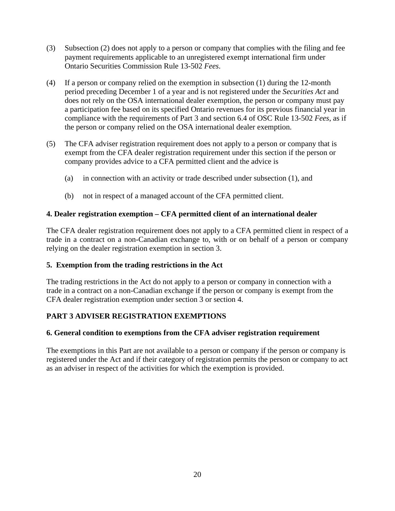- (3) Subsection (2) does not apply to a person or company that complies with the filing and fee payment requirements applicable to an unregistered exempt international firm under Ontario Securities Commission Rule 13-502 *Fees*.
- (4) If a person or company relied on the exemption in subsection (1) during the 12-month period preceding December 1 of a year and is not registered under the *Securities Act* and does not rely on the OSA international dealer exemption, the person or company must pay a participation fee based on its specified Ontario revenues for its previous financial year in compliance with the requirements of Part 3 and section 6.4 of OSC Rule 13-502 *Fees*, as if the person or company relied on the OSA international dealer exemption.
- (5) The CFA adviser registration requirement does not apply to a person or company that is exempt from the CFA dealer registration requirement under this section if the person or company provides advice to a CFA permitted client and the advice is
	- (a) in connection with an activity or trade described under subsection (1), and
	- (b) not in respect of a managed account of the CFA permitted client.

# **4. Dealer registration exemption – CFA permitted client of an international dealer**

The CFA dealer registration requirement does not apply to a CFA permitted client in respect of a trade in a contract on a non-Canadian exchange to, with or on behalf of a person or company relying on the dealer registration exemption in section 3.

#### **5. Exemption from the trading restrictions in the Act**

The trading restrictions in the Act do not apply to a person or company in connection with a trade in a contract on a non-Canadian exchange if the person or company is exempt from the CFA dealer registration exemption under section 3 or section 4.

# **PART 3 ADVISER REGISTRATION EXEMPTIONS**

#### **6. General condition to exemptions from the CFA adviser registration requirement**

The exemptions in this Part are not available to a person or company if the person or company is registered under the Act and if their category of registration permits the person or company to act as an adviser in respect of the activities for which the exemption is provided.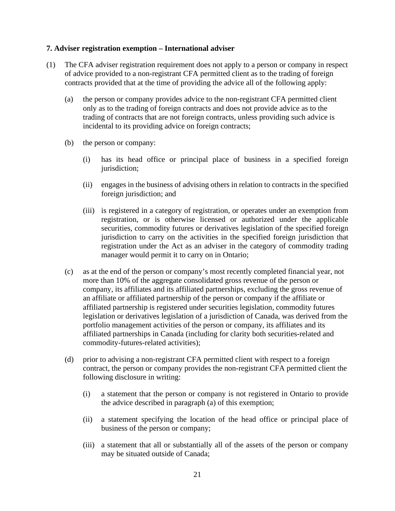#### **7. Adviser registration exemption – International adviser**

- (1) The CFA adviser registration requirement does not apply to a person or company in respect of advice provided to a non-registrant CFA permitted client as to the trading of foreign contracts provided that at the time of providing the advice all of the following apply:
	- (a) the person or company provides advice to the non-registrant CFA permitted client only as to the trading of foreign contracts and does not provide advice as to the trading of contracts that are not foreign contracts, unless providing such advice is incidental to its providing advice on foreign contracts;
	- (b) the person or company:
		- (i) has its head office or principal place of business in a specified foreign jurisdiction:
		- (ii) engages in the business of advising others in relation to contracts in the specified foreign jurisdiction; and
		- (iii) is registered in a category of registration, or operates under an exemption from registration, or is otherwise licensed or authorized under the applicable securities, commodity futures or derivatives legislation of the specified foreign jurisdiction to carry on the activities in the specified foreign jurisdiction that registration under the Act as an adviser in the category of commodity trading manager would permit it to carry on in Ontario;
	- (c) as at the end of the person or company's most recently completed financial year, not more than 10% of the aggregate consolidated gross revenue of the person or company, its affiliates and its affiliated partnerships, excluding the gross revenue of an affiliate or affiliated partnership of the person or company if the affiliate or affiliated partnership is registered under securities legislation, commodity futures legislation or derivatives legislation of a jurisdiction of Canada, was derived from the portfolio management activities of the person or company, its affiliates and its affiliated partnerships in Canada (including for clarity both securities-related and commodity-futures-related activities);
	- (d) prior to advising a non-registrant CFA permitted client with respect to a foreign contract, the person or company provides the non-registrant CFA permitted client the following disclosure in writing:
		- (i) a statement that the person or company is not registered in Ontario to provide the advice described in paragraph (a) of this exemption;
		- (ii) a statement specifying the location of the head office or principal place of business of the person or company;
		- (iii) a statement that all or substantially all of the assets of the person or company may be situated outside of Canada;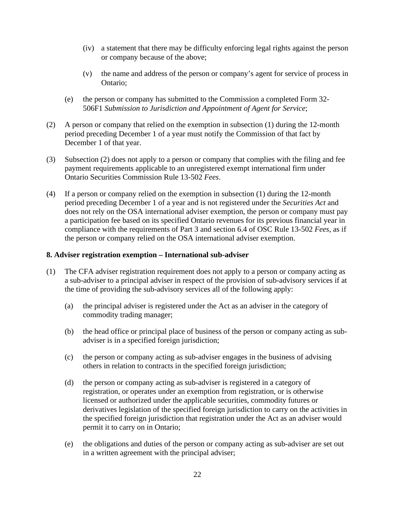- (iv) a statement that there may be difficulty enforcing legal rights against the person or company because of the above;
- (v) the name and address of the person or company's agent for service of process in Ontario;
- (e) the person or company has submitted to the Commission a completed Form 32- 506F1 *Submission to Jurisdiction and Appointment of Agent for Service*;
- (2) A person or company that relied on the exemption in subsection (1) during the 12-month period preceding December 1 of a year must notify the Commission of that fact by December 1 of that year.
- (3) Subsection (2) does not apply to a person or company that complies with the filing and fee payment requirements applicable to an unregistered exempt international firm under Ontario Securities Commission Rule 13-502 *Fees*.
- (4) If a person or company relied on the exemption in subsection (1) during the 12-month period preceding December 1 of a year and is not registered under the *Securities Act* and does not rely on the OSA international adviser exemption, the person or company must pay a participation fee based on its specified Ontario revenues for its previous financial year in compliance with the requirements of Part 3 and section 6.4 of OSC Rule 13-502 *Fees*, as if the person or company relied on the OSA international adviser exemption.

#### **8. Adviser registration exemption – International sub-adviser**

- (1) The CFA adviser registration requirement does not apply to a person or company acting as a sub-adviser to a principal adviser in respect of the provision of sub-advisory services if at the time of providing the sub-advisory services all of the following apply:
	- (a) the principal adviser is registered under the Act as an adviser in the category of commodity trading manager;
	- (b) the head office or principal place of business of the person or company acting as subadviser is in a specified foreign jurisdiction;
	- (c) the person or company acting as sub-adviser engages in the business of advising others in relation to contracts in the specified foreign jurisdiction;
	- (d) the person or company acting as sub-adviser is registered in a category of registration, or operates under an exemption from registration, or is otherwise licensed or authorized under the applicable securities, commodity futures or derivatives legislation of the specified foreign jurisdiction to carry on the activities in the specified foreign jurisdiction that registration under the Act as an adviser would permit it to carry on in Ontario;
	- (e) the obligations and duties of the person or company acting as sub-adviser are set out in a written agreement with the principal adviser;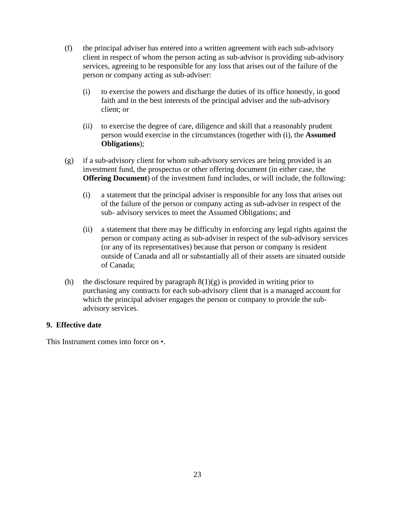- (f) the principal adviser has entered into a written agreement with each sub-advisory client in respect of whom the person acting as sub-advisor is providing sub-advisory services, agreeing to be responsible for any loss that arises out of the failure of the person or company acting as sub-adviser:
	- (i) to exercise the powers and discharge the duties of its office honestly, in good faith and in the best interests of the principal adviser and the sub-advisory client; or
	- (ii) to exercise the degree of care, diligence and skill that a reasonably prudent person would exercise in the circumstances (together with (i), the **Assumed Obligations**);
- (g) if a sub-advisory client for whom sub-advisory services are being provided is an investment fund, the prospectus or other offering document (in either case, the **Offering Document**) of the investment fund includes, or will include, the following:
	- (i) a statement that the principal adviser is responsible for any loss that arises out of the failure of the person or company acting as sub-adviser in respect of the sub- advisory services to meet the Assumed Obligations; and
	- (ii) a statement that there may be difficulty in enforcing any legal rights against the person or company acting as sub-adviser in respect of the sub-advisory services (or any of its representatives) because that person or company is resident outside of Canada and all or substantially all of their assets are situated outside of Canada;
- (h) the disclosure required by paragraph  $8(1)(g)$  is provided in writing prior to purchasing any contracts for each sub-advisory client that is a managed account for which the principal adviser engages the person or company to provide the subadvisory services.

#### **9. Effective date**

This Instrument comes into force on •.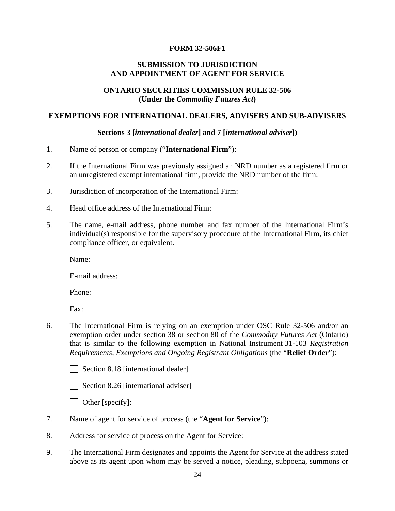### **FORM 32-506F1**

### **SUBMISSION TO JURISDICTION AND APPOINTMENT OF AGENT FOR SERVICE**

#### **ONTARIO SECURITIES COMMISSION RULE 32-506 (Under the** *Commodity Futures Act***)**

#### **EXEMPTIONS FOR INTERNATIONAL DEALERS, ADVISERS AND SUB-ADVISERS**

#### **Sections 3 [***international dealer***] and 7 [***international adviser***])**

- 1. Name of person or company ("**International Firm**"):
- 2. If the International Firm was previously assigned an NRD number as a registered firm or an unregistered exempt international firm, provide the NRD number of the firm:
- 3. Jurisdiction of incorporation of the International Firm:
- 4. Head office address of the International Firm:
- 5. The name, e-mail address, phone number and fax number of the International Firm's individual(s) responsible for the supervisory procedure of the International Firm, its chief compliance officer, or equivalent.

Name:

E-mail address:

Phone:

Fax:

6. The International Firm is relying on an exemption under OSC Rule 32-506 and/or an exemption order under section 38 or section 80 of the *Commodity Futures Act* (Ontario) that is similar to the following exemption in National Instrument 31-103 *Registration Requirements, Exemptions and Ongoing Registrant Obligations* (the "**Relief Order**"):

 $\Box$  Section 8.18 [international dealer]

Section 8.26 [international adviser]

□ Other [specify]:

- 7. Name of agent for service of process (the "**Agent for Service**"):
- 8. Address for service of process on the Agent for Service:
- 9. The International Firm designates and appoints the Agent for Service at the address stated above as its agent upon whom may be served a notice, pleading, subpoena, summons or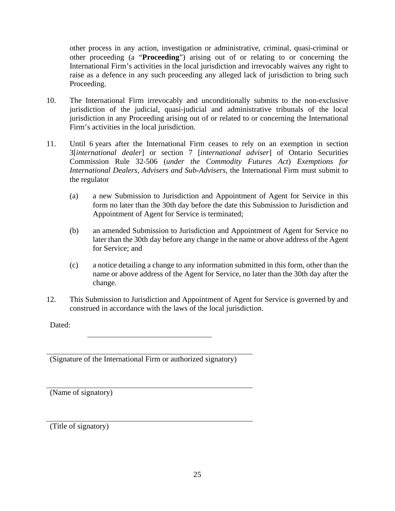other process in any action, investigation or administrative, criminal, quasi-criminal or other proceeding (a "**Proceeding**") arising out of or relating to or concerning the International Firm's activities in the local jurisdiction and irrevocably waives any right to raise as a defence in any such proceeding any alleged lack of jurisdiction to bring such Proceeding.

- 10. The International Firm irrevocably and unconditionally submits to the non-exclusive jurisdiction of the judicial, quasi-judicial and administrative tribunals of the local jurisdiction in any Proceeding arising out of or related to or concerning the International Firm's activities in the local jurisdiction.
- 11. Until 6 years after the International Firm ceases to rely on an exemption in section 3[*international dealer*] or section 7 [*international adviser*] of Ontario Securities Commission Rule 32-506 (*under the Commodity Futures Act*) *Exemptions for International Dealers, Advisers and Sub-Advisers*, the International Firm must submit to the regulator
	- (a) a new Submission to Jurisdiction and Appointment of Agent for Service in this form no later than the 30th day before the date this Submission to Jurisdiction and Appointment of Agent for Service is terminated;
	- (b) an amended Submission to Jurisdiction and Appointment of Agent for Service no later than the 30th day before any change in the name or above address of the Agent for Service; and
	- (c) a notice detailing a change to any information submitted in this form, other than the name or above address of the Agent for Service, no later than the 30th day after the change.
- 12. This Submission to Jurisdiction and Appointment of Agent for Service is governed by and construed in accordance with the laws of the local jurisdiction.

Dated:

(Signature of the International Firm or authorized signatory)

(Name of signatory)

(Title of signatory)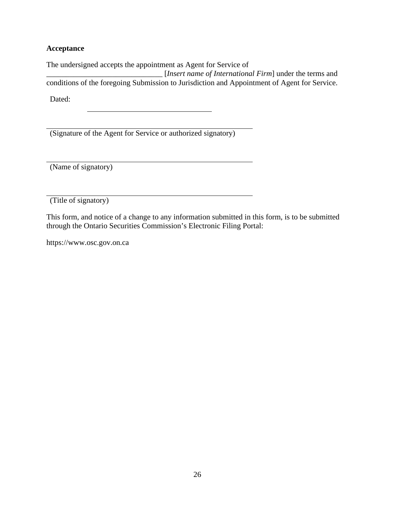# **Acceptance**

The undersigned accepts the appointment as Agent for Service of

\_\_\_\_\_\_\_\_\_\_\_\_\_\_\_\_\_\_\_\_\_\_\_\_\_\_\_\_\_\_ [*Insert name of International Firm*] under the terms and conditions of the foregoing Submission to Jurisdiction and Appointment of Agent for Service.

Dated:

(Signature of the Agent for Service or authorized signatory)

(Name of signatory)

(Title of signatory)

This form, and notice of a change to any information submitted in this form, is to be submitted through the Ontario Securities Commission's Electronic Filing Portal:

https://www.osc.gov.on.ca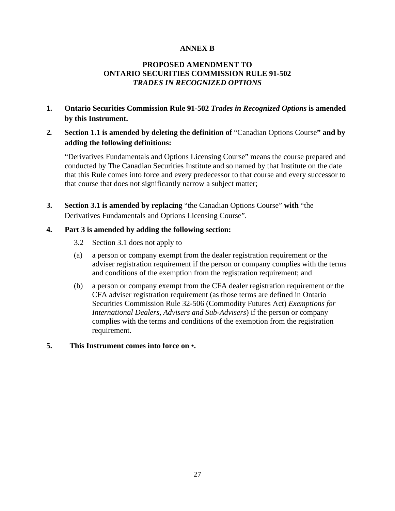# **ANNEX B**

### **PROPOSED AMENDMENT TO ONTARIO SECURITIES COMMISSION RULE 91-502**  *TRADES IN RECOGNIZED OPTIONS*

- **1. Ontario Securities Commission Rule 91-502** *Trades in Recognized Options* **is amended by this Instrument.**
- **2***.* **Section 1.1 is amended by deleting the definition of** "Canadian Options Course**" and by adding the following definitions:**

"Derivatives Fundamentals and Options Licensing Course" means the course prepared and conducted by The Canadian Securities Institute and so named by that Institute on the date that this Rule comes into force and every predecessor to that course and every successor to that course that does not significantly narrow a subject matter;

**3. Section 3.1 is amended by replacing** "the Canadian Options Course" **with** "the Derivatives Fundamentals and Options Licensing Course".

#### **4. Part 3 is amended by adding the following section:**

- 3.2 Section 3.1 does not apply to
- (a) a person or company exempt from the dealer registration requirement or the adviser registration requirement if the person or company complies with the terms and conditions of the exemption from the registration requirement; and
- (b) a person or company exempt from the CFA dealer registration requirement or the CFA adviser registration requirement (as those terms are defined in Ontario Securities Commission Rule 32-506 (Commodity Futures Act) *Exemptions for International Dealers, Advisers and Sub-Advisers*) if the person or company complies with the terms and conditions of the exemption from the registration requirement.

### **5. This Instrument comes into force on •.**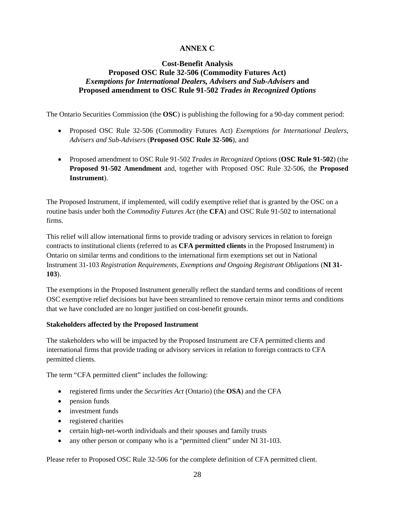# **ANNEX C**

### **Cost-Benefit Analysis Proposed OSC Rule 32-506 (Commodity Futures Act)**  *Exemptions for International Dealers, Advisers and Sub-Advisers* **and Proposed amendment to OSC Rule 91-502** *Trades in Recognized Options*

The Ontario Securities Commission (the **OSC**) is publishing the following for a 90-day comment period:

- Proposed OSC Rule 32-506 (Commodity Futures Act) *Exemptions for International Dealers, Advisers and Sub-Advisers* (**Proposed OSC Rule 32-506**), and
- Proposed amendment to OSC Rule 91-502 *Trades in Recognized Options* (**OSC Rule 91-502**) (the **Proposed 91-502 Amendment** and, together with Proposed OSC Rule 32-506, the **Proposed Instrument**).

The Proposed Instrument, if implemented, will codify exemptive relief that is granted by the OSC on a routine basis under both the *Commodity Futures Act* (the **CFA**) and OSC Rule 91-502 to international firms.

This relief will allow international firms to provide trading or advisory services in relation to foreign contracts to institutional clients (referred to as **CFA permitted clients** in the Proposed Instrument) in Ontario on similar terms and conditions to the international firm exemptions set out in National Instrument 31-103 *Registration Requirements, Exemptions and Ongoing Registrant Obligations* (**NI 31- 103**).

The exemptions in the Proposed Instrument generally reflect the standard terms and conditions of recent OSC exemptive relief decisions but have been streamlined to remove certain minor terms and conditions that we have concluded are no longer justified on cost-benefit grounds.

#### **Stakeholders affected by the Proposed Instrument**

The stakeholders who will be impacted by the Proposed Instrument are CFA permitted clients and international firms that provide trading or advisory services in relation to foreign contracts to CFA permitted clients.

The term "CFA permitted client" includes the following:

- registered firms under the *Securities Act* (Ontario) (the **OSA**) and the CFA
- pension funds
- investment funds
- registered charities
- certain high-net-worth individuals and their spouses and family trusts
- any other person or company who is a "permitted client" under NI 31-103.

Please refer to Proposed OSC Rule 32-506 for the complete definition of CFA permitted client.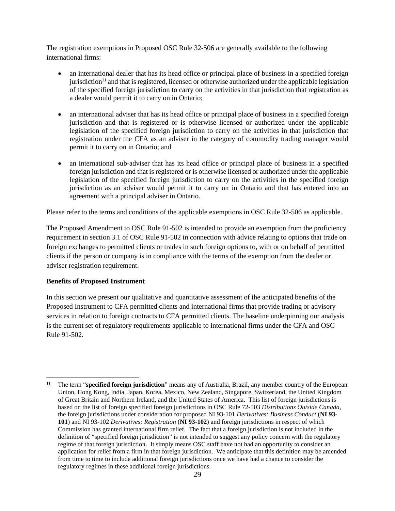The registration exemptions in Proposed OSC Rule 32-506 are generally available to the following international firms:

- an international dealer that has its head office or principal place of business in a specified foreign jurisdiction<sup>11</sup> and that is registered, licensed or otherwise authorized under the applicable legislation of the specified foreign jurisdiction to carry on the activities in that jurisdiction that registration as a dealer would permit it to carry on in Ontario;
- an international adviser that has its head office or principal place of business in a specified foreign jurisdiction and that is registered or is otherwise licensed or authorized under the applicable legislation of the specified foreign jurisdiction to carry on the activities in that jurisdiction that registration under the CFA as an adviser in the category of commodity trading manager would permit it to carry on in Ontario; and
- an international sub-adviser that has its head office or principal place of business in a specified foreign jurisdiction and that is registered or is otherwise licensed or authorized under the applicable legislation of the specified foreign jurisdiction to carry on the activities in the specified foreign jurisdiction as an adviser would permit it to carry on in Ontario and that has entered into an agreement with a principal adviser in Ontario.

Please refer to the terms and conditions of the applicable exemptions in OSC Rule 32-506 as applicable.

The Proposed Amendment to OSC Rule 91-502 is intended to provide an exemption from the proficiency requirement in section 3.1 of OSC Rule 91-502 in connection with advice relating to options that trade on foreign exchanges to permitted clients or trades in such foreign options to, with or on behalf of permitted clients if the person or company is in compliance with the terms of the exemption from the dealer or adviser registration requirement.

#### **Benefits of Proposed Instrument**

In this section we present our qualitative and quantitative assessment of the anticipated benefits of the Proposed Instrument to CFA permitted clients and international firms that provide trading or advisory services in relation to foreign contracts to CFA permitted clients. The baseline underpinning our analysis is the current set of regulatory requirements applicable to international firms under the CFA and OSC Rule 91-502.

<sup>11</sup> The term "**specified foreign jurisdiction**" means any of Australia, Brazil, any member country of the European Union, Hong Kong, India, Japan, Korea, Mexico, New Zealand, Singapore, Switzerland, the United Kingdom of Great Britain and Northern Ireland, and the United States of America. This list of foreign jurisdictions is based on the list of foreign specified foreign jurisdictions in OSC Rule 72-503 *Distributions Outside Canada,*  the foreign jurisdictions under consideration for proposed NI 93-101 *Derivatives: Business Conduct* (**NI 93- 101**) and NI 93-102 *Derivatives: Registration* (**NI 93-102**) and foreign jurisdictions in respect of which Commission has granted international firm relief. The fact that a foreign jurisdiction is not included in the definition of "specified foreign jurisdiction" is not intended to suggest any policy concern with the regulatory regime of that foreign jurisdiction. It simply means OSC staff have not had an opportunity to consider an application for relief from a firm in that foreign jurisdiction. We anticipate that this definition may be amended from time to time to include additional foreign jurisdictions once we have had a chance to consider the regulatory regimes in these additional foreign jurisdictions.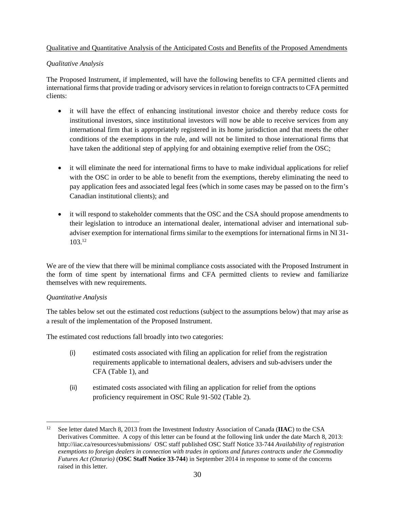#### Qualitative and Quantitative Analysis of the Anticipated Costs and Benefits of the Proposed Amendments

#### *Qualitative Analysis*

The Proposed Instrument, if implemented, will have the following benefits to CFA permitted clients and international firms that provide trading or advisory services in relation to foreign contracts to CFA permitted clients:

- it will have the effect of enhancing institutional investor choice and thereby reduce costs for institutional investors, since institutional investors will now be able to receive services from any international firm that is appropriately registered in its home jurisdiction and that meets the other conditions of the exemptions in the rule, and will not be limited to those international firms that have taken the additional step of applying for and obtaining exemptive relief from the OSC;
- it will eliminate the need for international firms to have to make individual applications for relief with the OSC in order to be able to benefit from the exemptions, thereby eliminating the need to pay application fees and associated legal fees (which in some cases may be passed on to the firm's Canadian institutional clients); and
- it will respond to stakeholder comments that the OSC and the CSA should propose amendments to their legislation to introduce an international dealer, international adviser and international subadviser exemption for international firms similar to the exemptions for international firms in NI 31- 103.<sup>12</sup>

We are of the view that there will be minimal compliance costs associated with the Proposed Instrument in the form of time spent by international firms and CFA permitted clients to review and familiarize themselves with new requirements.

#### *Quantitative Analysis*

The tables below set out the estimated cost reductions (subject to the assumptions below) that may arise as a result of the implementation of the Proposed Instrument.

The estimated cost reductions fall broadly into two categories:

- (i) estimated costs associated with filing an application for relief from the registration requirements applicable to international dealers, advisers and sub-advisers under the CFA (Table 1), and
- (ii) estimated costs associated with filing an application for relief from the options proficiency requirement in OSC Rule 91-502 (Table 2).

<sup>12</sup> See letter dated March 8, 2013 from the Investment Industry Association of Canada (**IIAC**) to the CSA Derivatives Committee. A copy of this letter can be found at the following link under the date March 8, 2013: http://iiac.ca/resources/submissions/ OSC staff published OSC Staff Notice 33-744 *Availability of registration exemptions to foreign dealers in connection with trades in options and futures contracts under the Commodity Futures Act (Ontario)* (**OSC Staff Notice 33-744**) in September 2014 in response to some of the concerns raised in this letter.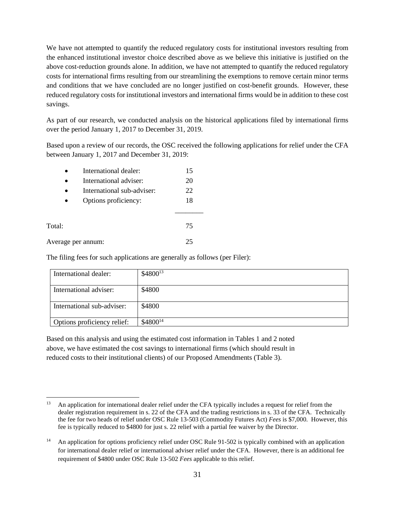We have not attempted to quantify the reduced regulatory costs for institutional investors resulting from the enhanced institutional investor choice described above as we believe this initiative is justified on the above cost-reduction grounds alone. In addition, we have not attempted to quantify the reduced regulatory costs for international firms resulting from our streamlining the exemptions to remove certain minor terms and conditions that we have concluded are no longer justified on cost-benefit grounds. However, these reduced regulatory costs for institutional investors and international firms would be in addition to these cost savings.

As part of our research, we conducted analysis on the historical applications filed by international firms over the period January 1, 2017 to December 31, 2019.

Based upon a review of our records, the OSC received the following applications for relief under the CFA between January 1, 2017 and December 31, 2019:

|                    | International dealer:      | 15 |
|--------------------|----------------------------|----|
|                    | International adviser:     | 20 |
|                    | International sub-adviser: | 22 |
|                    | Options proficiency:       | 18 |
|                    |                            |    |
| Total:             |                            | 75 |
| Average per annum: | 25                         |    |

The filing fees for such applications are generally as follows (per Filer):

| International dealer:       | $$4800^{13}$ |
|-----------------------------|--------------|
| International adviser:      | \$4800       |
| International sub-adviser:  | \$4800       |
| Options proficiency relief: | \$480014     |

Based on this analysis and using the estimated cost information in Tables 1 and 2 noted above, we have estimated the cost savings to international firms (which should result in reduced costs to their institutional clients) of our Proposed Amendments (Table 3).

<sup>&</sup>lt;sup>13</sup> An application for international dealer relief under the CFA typically includes a request for relief from the dealer registration requirement in s. 22 of the CFA and the trading restrictions in s. 33 of the CFA. Technically the fee for two heads of relief under OSC Rule 13-503 (Commodity Futures Act) *Fees* is \$7,000. However, this fee is typically reduced to \$4800 for just s. 22 relief with a partial fee waiver by the Director.

An application for options proficiency relief under OSC Rule 91-502 is typically combined with an application for international dealer relief or international adviser relief under the CFA. However, there is an additional fee requirement of \$4800 under OSC Rule 13-502 *Fees* applicable to this relief.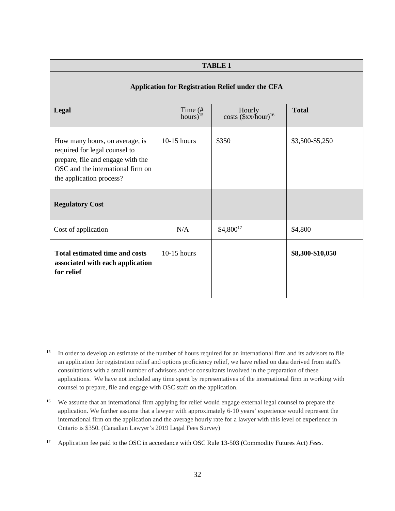| <b>TABLE 1</b>                                                                                                                                                        |                              |                                          |                  |  |
|-----------------------------------------------------------------------------------------------------------------------------------------------------------------------|------------------------------|------------------------------------------|------------------|--|
| <b>Application for Registration Relief under the CFA</b>                                                                                                              |                              |                                          |                  |  |
| Legal                                                                                                                                                                 | Time $(\#$<br>hours) $^{15}$ | Hourly<br>costs $(\frac{sx}{h}our)^{16}$ | <b>Total</b>     |  |
| How many hours, on average, is<br>required for legal counsel to<br>prepare, file and engage with the<br>OSC and the international firm on<br>the application process? | $10-15$ hours                | \$350                                    | \$3,500-\$5,250  |  |
| <b>Regulatory Cost</b>                                                                                                                                                |                              |                                          |                  |  |
| Cost of application                                                                                                                                                   | N/A                          | \$4,80017                                | \$4,800          |  |
| <b>Total estimated time and costs</b><br>associated with each application<br>for relief                                                                               | $10-15$ hours                |                                          | \$8,300-\$10,050 |  |

<sup>&</sup>lt;sup>15</sup> In order to develop an estimate of the number of hours required for an international firm and its advisors to file an application for registration relief and options proficiency relief, we have relied on data derived from staff's consultations with a small number of advisors and/or consultants involved in the preparation of these applications. We have not included any time spent by representatives of the international firm in working with counsel to prepare, file and engage with OSC staff on the application.

<sup>&</sup>lt;sup>16</sup> We assume that an international firm applying for relief would engage external legal counsel to prepare the application. We further assume that a lawyer with approximately 6-10 years' experience would represent the international firm on the application and the average hourly rate for a lawyer with this level of experience in Ontario is \$350. (Canadian Lawyer's 2019 Legal Fees Survey)

<sup>17</sup> Application fee paid to the OSC in accordance with OSC Rule 13-503 (Commodity Futures Act) *Fees*.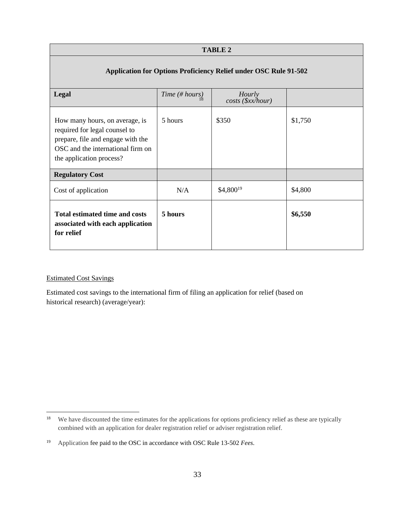| <b>TABLE 2</b>                                                                                                                                                        |                |                                  |         |  |
|-----------------------------------------------------------------------------------------------------------------------------------------------------------------------|----------------|----------------------------------|---------|--|
| <b>Application for Options Proficiency Relief under OSC Rule 91-502</b>                                                                                               |                |                                  |         |  |
| Legal                                                                                                                                                                 | Time (# hours) | Hourly<br>$costs$ ( $\&x/hour$ ) |         |  |
| How many hours, on average, is<br>required for legal counsel to<br>prepare, file and engage with the<br>OSC and the international firm on<br>the application process? | 5 hours        | \$350                            | \$1,750 |  |
| <b>Regulatory Cost</b>                                                                                                                                                |                |                                  |         |  |
| Cost of application                                                                                                                                                   | N/A            | \$4,80019                        | \$4,800 |  |
| <b>Total estimated time and costs</b><br>associated with each application<br>for relief                                                                               | 5 hours        |                                  | \$6,550 |  |

#### Estimated Cost Savings

Estimated cost savings to the international firm of filing an application for relief (based on historical research) (average/year):

<sup>&</sup>lt;sup>18</sup> We have discounted the time estimates for the applications for options proficiency relief as these are typically combined with an application for dealer registration relief or adviser registration relief.

<sup>19</sup> Application fee paid to the OSC in accordance with OSC Rule 13-502 *Fees*.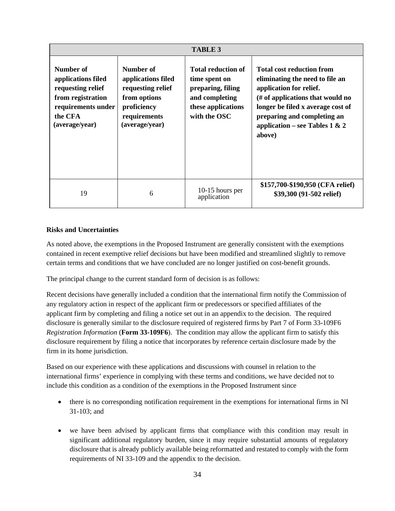| <b>TABLE 3</b>                                                                                                               |                                                                                                                       |                                                                                                                         |                                                                                                                                                                                                                                                     |
|------------------------------------------------------------------------------------------------------------------------------|-----------------------------------------------------------------------------------------------------------------------|-------------------------------------------------------------------------------------------------------------------------|-----------------------------------------------------------------------------------------------------------------------------------------------------------------------------------------------------------------------------------------------------|
| Number of<br>applications filed<br>requesting relief<br>from registration<br>requirements under<br>the CFA<br>(average/year) | Number of<br>applications filed<br>requesting relief<br>from options<br>proficiency<br>requirements<br>(average/year) | <b>Total reduction of</b><br>time spent on<br>preparing, filing<br>and completing<br>these applications<br>with the OSC | <b>Total cost reduction from</b><br>eliminating the need to file an<br>application for relief.<br>$#$ of applications that would no<br>longer be filed x average cost of<br>preparing and completing an<br>application – see Tables 1 & 2<br>above) |
| 19                                                                                                                           | 6                                                                                                                     | $10-15$ hours per<br>application                                                                                        | \$157,700-\$190,950 (CFA relief)<br>\$39,300 (91-502 relief)                                                                                                                                                                                        |

#### **Risks and Uncertainties**

As noted above, the exemptions in the Proposed Instrument are generally consistent with the exemptions contained in recent exemptive relief decisions but have been modified and streamlined slightly to remove certain terms and conditions that we have concluded are no longer justified on cost-benefit grounds.

The principal change to the current standard form of decision is as follows:

Recent decisions have generally included a condition that the international firm notify the Commission of any regulatory action in respect of the applicant firm or predecessors or specified affiliates of the applicant firm by completing and filing a notice set out in an appendix to the decision. The required disclosure is generally similar to the disclosure required of registered firms by Part 7 of Form 33-109F6 *Registration Information* (**Form 33-109F6**). The condition may allow the applicant firm to satisfy this disclosure requirement by filing a notice that incorporates by reference certain disclosure made by the firm in its home jurisdiction.

Based on our experience with these applications and discussions with counsel in relation to the international firms' experience in complying with these terms and conditions, we have decided not to include this condition as a condition of the exemptions in the Proposed Instrument since

- there is no corresponding notification requirement in the exemptions for international firms in NI 31-103; and
- we have been advised by applicant firms that compliance with this condition may result in significant additional regulatory burden, since it may require substantial amounts of regulatory disclosure that is already publicly available being reformatted and restated to comply with the form requirements of NI 33-109 and the appendix to the decision.